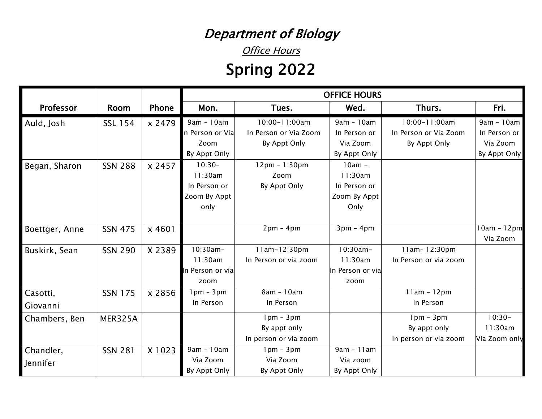## Department of Biology

**Office Hours** 

## Spring 2022

| Professor      | <b>Room</b>    | Phone  | Mon.             | Tues.                 | Wed.             | Thurs.                | Fri.          |
|----------------|----------------|--------|------------------|-----------------------|------------------|-----------------------|---------------|
| Auld, Josh     | <b>SSL 154</b> | x 2479 | 9am - 10am       | 10:00-11:00am         | 9am - 10am       | 10:00-11:00am         | 9am - 10am    |
|                |                |        | n Person or Via  | In Person or Via Zoom | In Person or     | In Person or Via Zoom | In Person or  |
|                |                |        | Zoom             | By Appt Only          | Via Zoom         | By Appt Only          | Via Zoom      |
|                |                |        | By Appt Only     |                       | By Appt Only     |                       | By Appt Only  |
| Began, Sharon  | <b>SSN 288</b> | x 2457 | $10:30-$         | $12pm - 1:30pm$       | $10am -$         |                       |               |
|                |                |        | 11:30am          | Zoom                  | 11:30am          |                       |               |
|                |                |        | In Person or     | By Appt Only          | In Person or     |                       |               |
|                |                |        | Zoom By Appt     |                       | Zoom By Appt     |                       |               |
|                |                |        | only             |                       | Only             |                       |               |
| Boettger, Anne | <b>SSN 475</b> | x 4601 |                  | $2pm - 4pm$           | $3pm - 4pm$      |                       | $10am - 12pm$ |
|                |                |        |                  |                       |                  |                       | Via Zoom      |
| Buskirk, Sean  | <b>SSN 290</b> | X 2389 | $10:30am -$      | 11am-12:30pm          | $10:30am -$      | 11am-12:30pm          |               |
|                |                |        | 11:30am          | In Person or via zoom | 11:30am          | In Person or via zoom |               |
|                |                |        | In Person or via |                       | In Person or via |                       |               |
|                |                |        | zoom             |                       | zoom             |                       |               |
| Casotti,       | SSN 175        | x 2856 | $1pm - 3pm$      | 8am - 10am            |                  | $11am - 12pm$         |               |
| Giovanni       |                |        | In Person        | In Person             |                  | In Person             |               |
| Chambers, Ben  | MER325A        |        |                  | $1pm - 3pm$           |                  | $1pm - 3pm$           | $10:30-$      |
|                |                |        |                  | By appt only          |                  | By appt only          | 11:30am       |
|                |                |        |                  | In person or via zoom |                  | In person or via zoom | Via Zoom only |
| Chandler,      | <b>SSN 281</b> | X 1023 | 9am - 10am       | $1pm - 3pm$           | $9am - 11am$     |                       |               |
| Jennifer       |                |        | Via Zoom         | Via Zoom              | Via zoom         |                       |               |
|                |                |        | By Appt Only     | By Appt Only          | By Appt Only     |                       |               |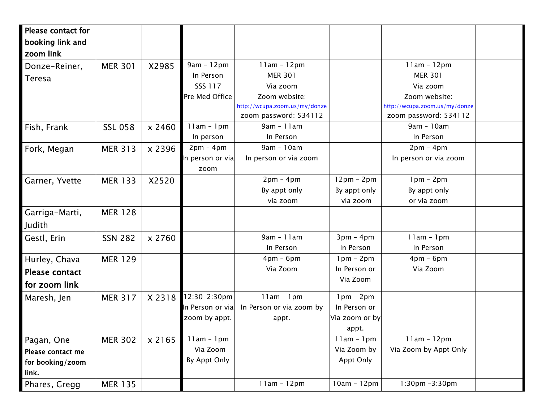| <b>Please contact for</b> |                |        |                 |                               |                |                               |  |
|---------------------------|----------------|--------|-----------------|-------------------------------|----------------|-------------------------------|--|
| booking link and          |                |        |                 |                               |                |                               |  |
| zoom link                 |                |        |                 |                               |                |                               |  |
| Donze-Reiner,             | <b>MER 301</b> | X2985  | $9am - 12pm$    | $11am - 12pm$                 |                | $11am - 12pm$                 |  |
| Teresa                    |                |        | In Person       | <b>MER 301</b>                |                | <b>MER 301</b>                |  |
|                           |                |        | SSS 117         | Via zoom                      |                | Via zoom                      |  |
|                           |                |        | Pre Med Office  | Zoom website:                 |                | Zoom website:                 |  |
|                           |                |        |                 | http://wcupa.zoom.us/my/donze |                | http://wcupa.zoom.us/my/donze |  |
|                           |                |        |                 | zoom password: 534112         |                | zoom password: 534112         |  |
| Fish, Frank               | <b>SSL 058</b> | x 2460 | $11am - 1pm$    | $9am - 11am$                  |                | 9am - 10am                    |  |
|                           |                |        | In person       | In Person                     |                | In Person                     |  |
| Fork, Megan               | <b>MER 313</b> | x 2396 | $2pm - 4pm$     | 9am - 10am                    |                | $2pm - 4pm$                   |  |
|                           |                |        | n person or via | In person or via zoom         |                | In person or via zoom         |  |
|                           |                |        | zoom            |                               |                |                               |  |
| Garner, Yvette            | <b>MER 133</b> | X2520  |                 | $2pm - 4pm$                   | $12pm - 2pm$   | $1pm - 2pm$                   |  |
|                           |                |        |                 | By appt only                  | By appt only   | By appt only                  |  |
|                           |                |        |                 | via zoom                      | via zoom       | or via zoom                   |  |
| Garriga-Marti,            | <b>MER 128</b> |        |                 |                               |                |                               |  |
| Judith                    |                |        |                 |                               |                |                               |  |
|                           |                |        |                 | $9am - 11am$                  | $3pm - 4pm$    | $11am - 1pm$                  |  |
| Gestl, Erin               | <b>SSN 282</b> | x 2760 |                 |                               |                |                               |  |
|                           |                |        |                 | In Person                     | In Person      | In Person                     |  |
| Hurley, Chava             | <b>MER 129</b> |        |                 | $4pm - 6pm$                   | $1pm - 2pm$    | $4pm - 6pm$                   |  |
| <b>Please contact</b>     |                |        |                 | Via Zoom                      | In Person or   | Via Zoom                      |  |
| for zoom link             |                |        |                 |                               | Via Zoom       |                               |  |
| Maresh, Jen               | <b>MER 317</b> | X 2318 | 12:30-2:30pm    | $11am - 1pm$                  | $1pm - 2pm$    |                               |  |
|                           |                |        | n Person or via | In Person or via zoom by      | In Person or   |                               |  |
|                           |                |        | zoom by appt.   | appt.                         | Via zoom or by |                               |  |
|                           |                |        |                 |                               | appt.          |                               |  |
| Pagan, One                | <b>MER 302</b> | x 2165 | $11am - 1pm$    |                               | $11am - 1pm$   | $11am - 12pm$                 |  |
| Please contact me         |                |        | Via Zoom        |                               | Via Zoom by    | Via Zoom by Appt Only         |  |
| for booking/zoom          |                |        | By Appt Only    |                               | Appt Only      |                               |  |
| link.                     |                |        |                 |                               |                |                               |  |
| Phares, Gregg             | <b>MER 135</b> |        |                 | $11am - 12pm$                 | $10am - 12pm$  | $1:30$ pm $-3:30$ pm          |  |
|                           |                |        |                 |                               |                |                               |  |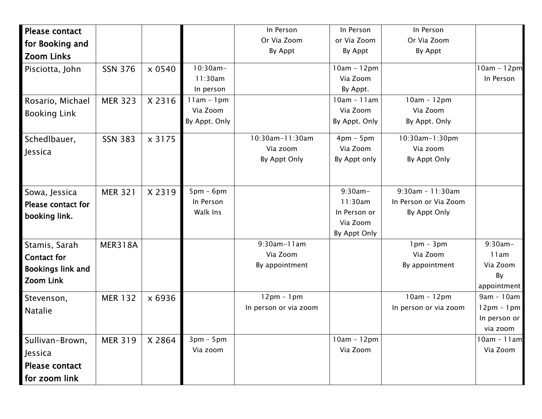| Please contact            |                |        |                          | In Person             | In Person     | In Person             |                           |
|---------------------------|----------------|--------|--------------------------|-----------------------|---------------|-----------------------|---------------------------|
| for Booking and           |                |        |                          | Or Via Zoom           | or Via Zoom   | Or Via Zoom           |                           |
| <b>Zoom Links</b>         |                |        |                          | By Appt               | By Appt       | By Appt               |                           |
| Pisciotta, John           | <b>SSN 376</b> | x 0540 | $10:30am -$              |                       | $10am - 12pm$ |                       | $10am - 12pm$             |
|                           |                |        | 11:30am                  |                       | Via Zoom      |                       | In Person                 |
|                           |                |        | In person                |                       | By Appt.      |                       |                           |
| Rosario, Michael          | <b>MER 323</b> | X 2316 | $11am - 1pm$             |                       | $10am - 11am$ | $10am - 12pm$         |                           |
| <b>Booking Link</b>       |                |        | Via Zoom                 |                       | Via Zoom      | Via Zoom              |                           |
|                           |                |        | By Appt. Only            |                       | By Appt. Only | By Appt. Only         |                           |
| Schedlbauer,              | <b>SSN 383</b> | x 3175 |                          | 10:30am-11:30am       | $4pm - 5pm$   | 10:30am-1:30pm        |                           |
| Jessica                   |                |        |                          | Via zoom              | Via Zoom      | Via zoom              |                           |
|                           |                |        |                          | By Appt Only          | By Appt only  | By Appt Only          |                           |
|                           |                |        |                          |                       | $9:30am -$    | $9:30$ am - 11:30am   |                           |
| Sowa, Jessica             | <b>MER 321</b> | X 2319 | $5pm - 6pm$<br>In Person |                       | 11:30am       | In Person or Via Zoom |                           |
| <b>Please contact for</b> |                |        | Walk Ins                 |                       | In Person or  | By Appt Only          |                           |
| booking link.             |                |        |                          |                       | Via Zoom      |                       |                           |
|                           |                |        |                          |                       | By Appt Only  |                       |                           |
| Stamis, Sarah             | <b>MER318A</b> |        |                          | 9:30am-11am           |               | $1pm - 3pm$           | $9:30am -$                |
| <b>Contact for</b>        |                |        |                          | Via Zoom              |               | Via Zoom              | 11am                      |
| Bookings link and         |                |        |                          | By appointment        |               | By appointment        | Via Zoom                  |
| Zoom Link                 |                |        |                          |                       |               |                       | By                        |
|                           |                |        |                          |                       |               |                       | appointment               |
| Stevenson,                | <b>MER 132</b> | x 6936 |                          | $12pm - 1pm$          |               | $10am - 12pm$         | $9am - 10am$              |
| <b>Natalie</b>            |                |        |                          | In person or via zoom |               | In person or via zoom | $12pm - 1pm$              |
|                           |                |        |                          |                       |               |                       | In person or              |
|                           |                |        | $3pm - 5pm$              |                       | $10am - 12pm$ |                       | via zoom<br>$10am - 11am$ |
| Sullivan-Brown,           | <b>MER 319</b> | X 2864 | Via zoom                 |                       | Via Zoom      |                       | Via Zoom                  |
| Jessica                   |                |        |                          |                       |               |                       |                           |
| Please contact            |                |        |                          |                       |               |                       |                           |
| for zoom link             |                |        |                          |                       |               |                       |                           |
|                           |                |        |                          |                       |               |                       |                           |